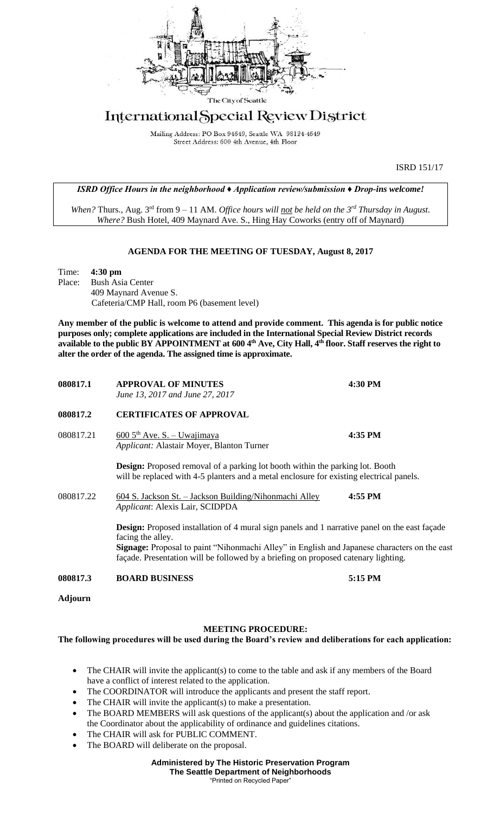

## International Special Review District

Mailing Address: PO Box 94649, Seattle WA 98124-4649 Street Address: 600 4th Avenue, 4th Floor

ISRD 151/17

*ISRD Office Hours in the neighborhood ♦ Application review/submission ♦ Drop-ins welcome!*

*When?* Thurs., Aug. 3rd from 9 – 11 AM. *Office hours will not be held on the 3rd Thursday in August. Where?* Bush Hotel, 409 Maynard Ave. S., Hing Hay Coworks (entry off of Maynard)

## **AGENDA FOR THE MEETING OF TUESDAY, August 8, 2017**

Time: **4:30 pm** Place: Bush Asia Center 409 Maynard Avenue S. Cafeteria/CMP Hall, room P6 (basement level)

**Any member of the public is welcome to attend and provide comment. This agenda is for public notice purposes only; complete applications are included in the International Special Review District records available to the public BY APPOINTMENT at 600 4th Ave, City Hall, 4th floor. Staff reserves the right to alter the order of the agenda. The assigned time is approximate.** 

| 080817.1  | <b>APPROVAL OF MINUTES</b><br>June 13, 2017 and June 27, 2017                                                                                                                             | 4:30 PM |
|-----------|-------------------------------------------------------------------------------------------------------------------------------------------------------------------------------------------|---------|
| 080817.2  | <b>CERTIFICATES OF APPROVAL</b>                                                                                                                                                           |         |
| 080817.21 | $6005$ <sup>th</sup> Ave. S. - Uwajimaya<br><i>Applicant: Alastair Moyer, Blanton Turner</i>                                                                                              | 4:35 PM |
|           | <b>Design:</b> Proposed removal of a parking lot booth within the parking lot. Booth<br>will be replaced with 4-5 planters and a metal enclosure for existing electrical panels.          |         |
| 080817.22 | 604 S. Jackson St. – Jackson Building/Nihonmachi Alley<br>Applicant: Alexis Lair, SCIDPDA                                                                                                 | 4:55 PM |
|           | <b>Design:</b> Proposed installation of 4 mural sign panels and 1 narrative panel on the east façade<br>facing the alley.                                                                 |         |
|           | <b>Signage:</b> Proposal to paint "Nihonmachi Alley" in English and Japanese characters on the east<br>façade. Presentation will be followed by a briefing on proposed catenary lighting. |         |
| 080817.3  | <b>BOARD BUSINESS</b>                                                                                                                                                                     | 5:15 PM |
| Adjourn   |                                                                                                                                                                                           |         |

## **MEETING PROCEDURE:**

## **The following procedures will be used during the Board's review and deliberations for each application:**

- The CHAIR will invite the applicant(s) to come to the table and ask if any members of the Board have a conflict of interest related to the application.
- The COORDINATOR will introduce the applicants and present the staff report.
- The CHAIR will invite the applicant(s) to make a presentation.
- The BOARD MEMBERS will ask questions of the applicant(s) about the application and /or ask the Coordinator about the applicability of ordinance and guidelines citations.
- The CHAIR will ask for PUBLIC COMMENT.
- The BOARD will deliberate on the proposal.